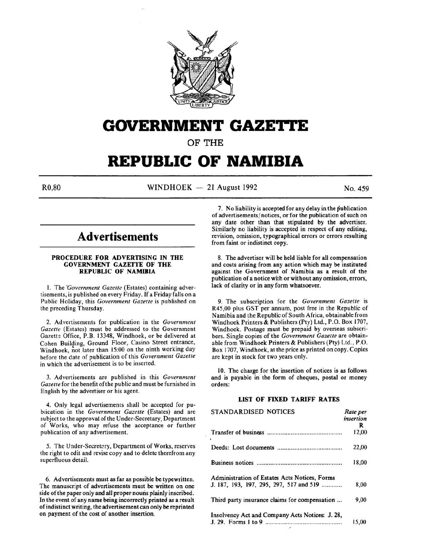

# **GOVERNMENT GAZE'rtE**

OF THE

# **REPUBLIC OF NAMIBIA**

 $R0,80$  WINDHOEK - 21 August 1992 No. 459

## **Advertisements**

#### PROCEDURE FOR ADVERTISING IN THE GOVERNMENT GAZETTE OF THE REPUBLIC OF NAMIBIA

I. The *"Government Gazerte* (Estates) containing advertisements, is published on every Friday. If a Friday falls on a Public Holiday, this *Government Gazette* is published on the preceding Thursday.

2. Advertisements for publication in the *Government Gazette* (Estates) must be addressed to the Government Gazette Office, P.B. 13348, Windhoek, or be delivered at Cohen Building, Ground Floor, Casino Street entrance, Windhoek, not later than 15:00 on the ninth working day before the date of publication of this *Government Gazette* in which the advertisement is to be inserted.

3. Advertisements are published in this *Government Gazette* for the benefit of the public and must be furnished in English by the advertiser or his agent.

4. Only legal advertisements shall be accepted for publication in the *Government Gazette* (Estates) and are subject to the approval of the Under-Secretary, Department of Works, who may refuse the acceptance or further publication of any advertisement.

5. The Under-Secretary, Department of Works, reserves the right to edit and revise copy and to delete therefrom any superfluous detail.

6. Advertisements must as far as possible be typewritten. The manuscript of advertisements must be written on one side of the paper only and all proper nouris plainly inscribed. In the event of any name being incorrectly printed as a result of indistinct writing, the advertisement can only be reprinted on payment of the cost of another insertion.

7. No liability is accepted for any delay in the publication of advertisements/ notices, or for the publication of such on any date other than that stipulated by the advertiser. Similarly no liability is accepted in respect of any editing, revision, omission, typographical errors or errors resulting from faint or indistinct copy.

8. The advertiser will be held liable for all compensation and costs arising from any action which may be instituted against the Government of Namibia as a result of the publication of a notice with or without any omission, errors, lack of clarity or in any form whatsoever.

9. The subscription for the *Government Gazette* is R45,00 plus GST per annum, post free in the Republic of Namibia and the Republic of South Africa, obtainable from Windhoek Printers & Publishers (Pty) Ltd., P.O. Box 1707, Windhoek. Postage must be prepaid by overseas subscribers. Single copies of the *Government Gazette* are obtainable from Windhoek Printers & Publishers (Pty) Ltd., P.O. Box 1707, Windhoek, at the price as printed on copy. Copies are kept in stock for two years only.

10. The charge for the insertion of notices is as follows and is payable in the form of cheques, postal or money orders:

#### LIST OF FIXED TARIFF RATES

| STANDARDISED NOTICES                            | Rate per<br>insertion |
|-------------------------------------------------|-----------------------|
|                                                 | R                     |
|                                                 | 12,00                 |
|                                                 | 22,00                 |
|                                                 | 18,00                 |
| Administration of Estates Acts Notices, Forms   |                       |
| J. 187, 193, 197, 295, 297, 517 and 519         | 8,00                  |
| Third party insurance claims for compensation   | 9,00                  |
| Insolvency Act and Company Acts Notices: J. 28, |                       |
|                                                 | 15,00                 |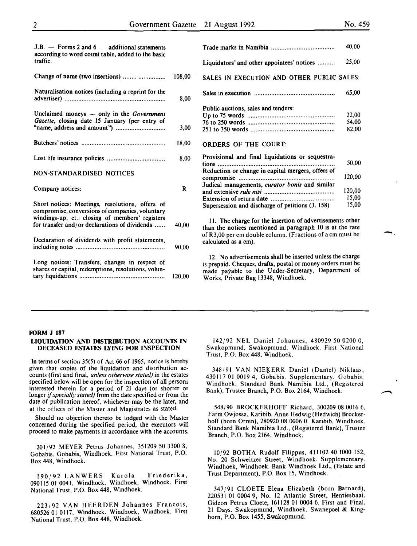15,00

-

| $J.B.$ - Forms 2 and 6 - additional statements<br>according to word count table, added to the basic   |        |                                                                                                                                                                                             |
|-------------------------------------------------------------------------------------------------------|--------|---------------------------------------------------------------------------------------------------------------------------------------------------------------------------------------------|
| traffic.                                                                                              |        | Liquidators' and other appointees' notices                                                                                                                                                  |
| Change of name (two insertions)                                                                       | 108,00 | SALES IN EXECUTION AND OTHER PUBLIC                                                                                                                                                         |
| Naturalisation notices (including a reprint for the                                                   | 8,00   |                                                                                                                                                                                             |
| Unclaimed moneys $-$ only in the <i>Government</i><br>Gazette, closing date 15 January (per entry of  |        | Public auctions, sales and tenders:                                                                                                                                                         |
|                                                                                                       | 3,00   |                                                                                                                                                                                             |
|                                                                                                       | 18,00  | <b>ORDERS OF THE COURT:</b>                                                                                                                                                                 |
|                                                                                                       | 8.00   | Provisional and final liquidations or sequestra-<br>tions                                                                                                                                   |
| <b>NON-STANDARDISED NOTICES</b>                                                                       |        | Reduction or change in capital mergers, offers of                                                                                                                                           |
| Company notices:                                                                                      | R      | Judical managements, curator bonis and similar                                                                                                                                              |
| Short notices: Meetings, resolutions, offers of<br>compromise, conversions of companies, voluntary    |        | Supersession and discharge of petitions (J. 158)                                                                                                                                            |
| windings-up, et.: closing of members' registers<br>for transfer and/or declarations of dividends      | 40,00  | 11. The charge for the insertion of advertisement<br>than the notices mentioned in paragraph 10 is a                                                                                        |
| Declaration of dividends with profit statements,                                                      | 90,00  | of R3,00 per cm double column. (Fractions of a cn<br>calculated as a cm).                                                                                                                   |
| Long notices: Transfers, changes in respect of<br>shares or capital, redemptions, resolutions, volun- | 120,00 | 12. No advertisements shall be inserted unless t<br>is prepaid. Cheques, drafts, postal or money order<br>made payable to the Under-Secretary, Depar<br>Works, Private Bag 13348, Windhoek. |
|                                                                                                       |        |                                                                                                                                                                                             |

|                                                   | 40,00  |
|---------------------------------------------------|--------|
| Liquidators' and other appointees' notices        | 25,00  |
| SALES IN EXECUTION AND OTHER PUBLIC SALES:        |        |
|                                                   | 65,00  |
| Public auctions, sales and tenders:               |        |
|                                                   | 22,00  |
|                                                   | 54,00  |
|                                                   | 82,00  |
| <b>ORDERS OF THE COURT:</b>                       |        |
| Provisional and final liquidations or sequestra-  |        |
| tions                                             | 50,00  |
| Reduction or change in capital mergers, offers of |        |
|                                                   | 120,00 |
| Judical managements, curator bonis and similar    |        |
|                                                   | 120,00 |
| Extension of return date                          | 15.00  |

. The charge for the insertion of advertisements other the notices mentioned in paragraph 10 is at the rate 3,00 per cm double column. (Fractions of a cm must be lated as a cm).

. No advertisements shall be inserted unless the charge epaid. Cheques, drafts, postal or money orders must be e payable to the Under-Secretary, Department of ks, Private Bag 13348, Windhoek.

#### FORM J 187

#### LIQUIDATION AND DISTRIBUTION ACCOUNTS IN DECEASED ESTATES LYING FOR INSPECTION

In terms of section 35(5) of Act 66 of 1965, notice is hereby given that copies of the liquidation and distribution accounts (first and final, *unless otherwise stated)* in the estates specified below will be open for the inspection of all persons interested therein for a period of 21 days (or shorter or longer if *specially stated)* from the date specified or from the date of publication hereof, whichever may be the later, and at the offices of the Master and Magistrates as stated.

Should no objection thereto be lodged with the Master concerned during the specified period, the executors will proceed to make payments in accordance with the accounts.

201/92 MEYER Petrus Johannes, 351209 50 3300 8, Gobabis. Gobabis, Windhoek. First National Trust, P.O. Box 448, Windhoek.

190/92 LANWERS Karola Friederika, 090115 01 0041, Windhoek. Windhoek, Windhoek. First National Trust, P.O. Box 448, Windhoek.

223/92 VAN HEERDEN Johannes Francois, 680526 01 0117, Windhoek. Windhoek, Windhoek. First National Trust, P.O. Box 448, Windhoek.

142/92 NEL Daniel Johannes, 480929 *50* 0200 0, Swakopmund. Swakopmund, Windhoek. First National Trust, P.O. Box 448, Windhoek.

348/91 VAN NIEKERK Daniël (Daniel) Niklaas, 430117 01 0019 4, Gobabis. Supplementary. Gobabis, Windhoek. Standard Bank Namibia Ltd., (Registered Bank), Trustee Branch, P.O. Box 2164, Windhoek.

548/90 BROCKERHOFF Richard, 300209 08 0016 6, Farm Owjossa, Karibib. Anne Hedwig (Hedwich) Brockerhoff (born Orren), 280920 08 0006 0. Karibib, Windhoek. Standard Bank Namibia Ltd., (Registered Bank), Trustee Branch, P.O. Box 2164, Windhoek.

10/92 BOTHA Rudolf Filippus, 411 102 40 1000 152, No. 20 Schweitzer Street, Windhoek. Supplementary. Windhoek, Windhoek. Bank Windhoek Ltd., (Estate and Trust Department), P.O. Box 15, Windhoek.

347 j91 CLOETE Elena Elizabeth (born Barnard), 220531 01 0004 9, No. 12 Atlantic Street, Hentiesbaai. Gideon Petrus Cloete, 161128 01 0004 6. First and Final. 21 Days. Swakopmund, Windhoek. Swanepoel & Kinghorn, P.O. Box 1455, Swakopmund.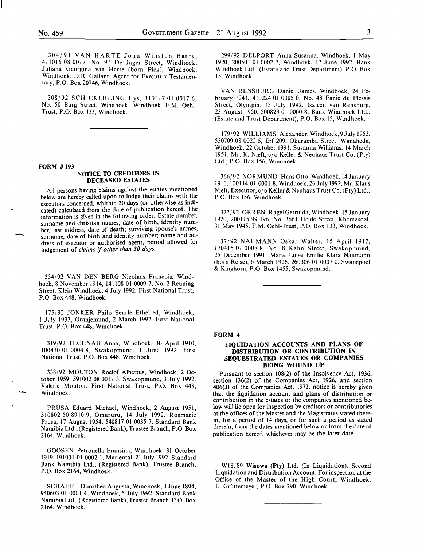304/91 VAN HARTE John Winston Barry, 411016 08 0017, No. 91 De Jager Street, Windhoek. Juliana Georgina van Harte (born Pick). Windhoek, Windhoek. D.R. Gallant, Agent for Executrix Testamentary, P.O. Box 20746, Windhoek.

308/92 SCHICKERLING Uys, 310317 01 0017 6, No. 50 Burg Street, Windhoek. Windhoek. F.M. Oehi-Trust, P.O. Box 133, Windhoek.

#### FORM J 193

--

#### NOTICE TO CREDITORS IN DECEASED ESTATES

All persons having claims against the estates mentioned below are hereby called upon to lodge their claims with the executors concerned, whithin 30 days (or otherwise as indicated) calculated from the date of publication hereof. The information is given in the following order: Estate number, surname and christian names, date of birth, identity number, last address, date of death; surviving spouse's names, surname, date of birth and identity number; name and address of executor or authorised agent, period allowed for lodgement of *claims* if *other than 30 days.* 

334/92 VAN DEN BERG Nicolaas Francois, Windhoek, 8 November 1914, 141108 01 0009 7, No.2 Reuning Street, Klein Windhoek, 4 July 1992. First National Trust, P.O. Box 448, Windhoek.

175/92 JONKER Philo Searle Ethelred, Windhoek, I July 1933, Oranjemund, 2 March 1992. First National Trust, P.O. Box 448, Windhoek.

319/92 TECHNAU Anna, Windhoek, 30 April 1910, 100430 OJ 0004 8, Swakopmund, I June 1992. First National Trust, P.O. Box 448, Windhoek.

338/92 MOUTON Roelof Albertus, Windhoek, 2 October 1959, 591002 08 0017 3, Swakopmund, 3 July 1992. Valerie Mouton. First National Trust, P.O. Box 448, Windhoek.

PRUSA Eduard Michael, Windhoek, 2 August 1951, 510802 50 8910 9, Omaruru, 14 July 1992. Rosmarie Prusa, 17 August 1954, 540817 01 0035 7. Standard Bank Namibia Ltd., (Registered Bank), Trustee Branch, P.O. Box 2164, Windhoek.

GOOSEN Petronella Fransina, Windhoek, 31 October 1919, 191031 01 0002 I, Mariental, 21 July 1992. Standard Bank Namibia Ltd., (Registered Bank), Trustee Branch, P.O. Box 2164, Windhoek.

SCHAFFT Dorothea Augusta, Windhoek, 3 June 1894, 940603 01 0001 4, Windhoek, 5 July 1992. Standard Bank Namibia Ltd., (Registered Bank), Trustee Branch, P.O. Box 2164, Windhoek.

299/92 DELPORT Anna Susanna, Windhoek, I May 1920, 200501 OJ 0002 2, Windhoek, 17 June 1992. Bank Windhoek Ltd., (Estate and Trust Department), P.O. Box 15, Windhoek.

VAN RENSBURG Daniel James, Windhoek, 24 February 1941, 410224 01 0005 0, No. 48 Fanie du Plessis Street, Olympia, 15 July 1992. lsaleen van Rensburg, 23 August 1950, 500823 01 0000 8. Bank Windhoek Ltd., (Estate and Trust Department), P.O. Box 15, Windhoek.

179/92 WILLIAMS Alexander, Windhoek,9July 1953, 530709 08 0022 5, Erf 209, Okaramba Street, Wanaheda, Windhoek, 22 October 1991. Susanna Williams, 14 March 1951. Mr. K. Nieft, cj o Keller & Neuhaus Trust Co. (Pty) Ltd., P.O. Box 156, Windhoek.

366/92 NORMUND Hans Otto, Windhoek, 14January 1910, 100114 OJ 0001 8, Windhoek, 26July 1992. Mr. Klaus Nieft, Executor, cj o Keller & Neuhaus Trust Co. (Pty) Ltd., P.O. Box 156, Windhoek.

377/92 ORREN RagelGetruida, Windhoek, 15January 1920, 200115 99 196, No. 3661 Heide Street, Khomasdal, 31 May 1945. F.M. Oehl-Trust, P.O. Box 133, Windhoek.

37/92 NAUMANN Oskar Walter, 15 April 1917, 170415 01 0008 8, No. 8 Kahn Street, Swakopmund, 25 December 1991. Marie Luise Emilie Klara Naumann (born Reise), 6 March 1926, 260306 01 0007 0. Swanepoel & Kinghorn, P.O. Box 1455, Swakopmund.

#### FORM 4

#### LIQUIDATION ACCOUNTS AND PLANS OF DISTRIBUTION OR CONTRIBUTION IN 3EQUESTRATED ESTATES OR COMPANIES BEING WOUND UP

Pursuant to section 108(2) of the Insolvency Act, 1936, section 136(2) of the Companies Act, 1926, and section 406(3) of the Companies Act, 1973, notice is hereby given that the liquidation account and plans of distribution or contribution in the estates or the companies mentioned below will lie open for inspection by creditors or contributories at the offices of the Master and the Magistrates stated therein, for a period of 14 days, or for such a period as stated therein, from the dates mentioned below or from the date of publication hereof, whichever may be the later date.

Wl8j89 Wisowa (Pty) Ltd. (In Liquidation). Second Liquidation and Distribution Account. For inspection at the Office of the Master of the High Court, Windhoek. U. Griittemeyer, P.O. Box 790, Windhoek.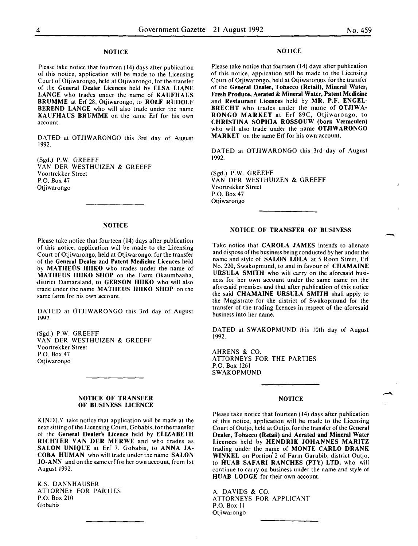#### **NOTICE**

Please take notice that fourteen ( 14) days after publication of this notice, application will be made to the Licensing Court of Otjiwarongo, held at Otjiwarongo, for the transfer of the General Dealer Licences held by ELSA LIANE LANGE who trades under the name of KAUFHAUS BRUMME at Erf 28, Otjiwarongo, to ROLF RUDOLF BEREND LANGE who will also trade under the name KAUFHAUS BRUMME on the same Erf for his own account.

DATED at OTJIWARONGO this 3rd day of August 1992.

(Sgd.) P.W. GREEFF VAN DER WESTHUIZEN & GREEFF Voortrekker Street P.O. Box 47 Otjiwarongo

#### NOTICE

Please take notice that fourteen (14) days after publication of this notice, application will be made to the Licensing Court of Otjiwarongo, held at Otjiwarongo, for the transfer of the General Dealer and Patent Medicine Licences held by MATHEUS HIIKO who trades under the name of MATHEUS HIIKO SHOP on the Farm Okaumbaaha, ·district Damaraland, to GERSON HIIKO who will also trade under the name MATHEUS HIIKO SHOP on the same farm for his own account.

DATED at OTJIWARONGO this 3rd day of August 1992.

(Sgd.) P.W. GREEFF VAN DER WESTHUIZEN & GREEFF Voortrekker Street P.O. Box 47 Otjiwarongo

#### NOTICE OF TRANSFER OF BUSINESS LICENCE

KINDLY take notice that application will be made at the next sitting of the Licensing Court, Gobabis, for the transfer of the General Dealer's Licence held by ELIZABETH RICHTER VAN DER MERWE and who trades as SALON UNIQUE at Erf 7, Gobabis, to ANNA JA-COBA HUMAN who will trade under the name SALON JO-ANN and on the same erf for her own account, from 1st August 1992.

K.S. DANNHAUSER ATTORNEY FOR PARTIES P.O. Box 210 Gobabis

#### NOTICE

Please take notice that fourteen (14) days after publication of this notice, application will be made to the Licensing Court of Otjiwarongo, held at Otjiwar ongo, for the transfer of the General Dealer, Tobacco (Retail), Mineral Water, Fresh Produce, Aerated & Mineral Water, Patent Medicine and Restaurant Licences held by MR. P.F. ENGEL-BRECHT who trades under the name of OTJIWA-RONGO MARKET at Erf 89C, Otjiwarongo, to CHRISTINA SOPHIA ROSSOUW (born Vermeulen) who will also trade under the name OTJIWARONGO MARKET on the same Erf for his own account.

DATED at OTJIWARONGO this 3rd day of August 1992.

(Sgd.) P.W. GREEFF VAN DER WESTHUIZEN & GREEFF Voortrekker Street P.O. Box 47 Otjiwarongo

#### NOTICE OF TRANSFER OF BUSINESS

Take notice that CAROLA JAMES intends to alienate and dispose of the business being conducted by her under the name and style of SALON LOLA at *5* Roon Street, Erf No. 220, Swakopmund, to and in favour of CHAMAINE URSULA SMITH who will carry on the aforesaid business for her own account under the same name on the aforesaid premises and that after publication of this notice the said CHAMAINE URSULA SMITH shall apply to the Magistrate for the district of Swakopmund for the transfer of the trading licences in respect of the aforesaid business into her name.

DATED at SWAKOPMUND this lOth day of August 1992.

AHRENS & CO. ATTORNEYS FOR THE PARTIES P.O. Box 1261 SWAKOPMUND

### NOTICE

-

Please take notice that fourteen (14) days after publication of this notice, application will be made to the Licensing Court of Outjo, held at Outjo, for the transfer of the General Dealer, Tobacco (Retail) and Aerated and Mineral Water Licences held by HENDRIK JOHANNES MARITZ trading under the name of MONTE CARLO DRANK WINKEL on Portion' 2 of Farm Garubib, district Outjo, to HUAB SAFARI RANCHES (PTY) LTD. who will continue to carry on business under the name and style of HUAB LODGE for their own account.

A. DAVIDS & CO. ATTORNEYS FOR APPLICANT P.O. Box II Otjiwarongo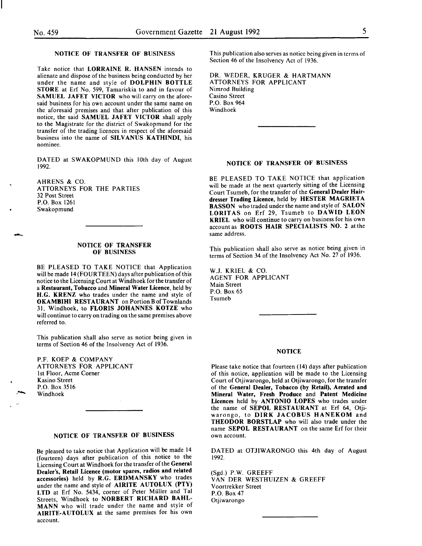--

Take notice that LORRAINE R. HANSEN intends to alienate and dispose of the business being conducted by her under the name and style of DOLPHIN BOTTLE STORE at Erf No. 599, Tamariskia to and in favour of SAMUEL JAFET VICTOR who will carry on the aforesaid business for his own account under the same name on the aforesaid premises and that after publication of this notice, the said SAMUEL JAFET VICTOR shall apply to the Magistrate for the district of Swakopmund for the transfer of the trading licences in respect of the aforesaid business into the name of SILVANUS KATHINDI, his nominee.

DATED at SWAKOPMUND this lOth day of August 1992.

AHRENS & CO. ATTORNEYS FOR THE PARTIES 32 Post Street P.O. Box 1261 Swakopmund

#### NOTICE OF TRANSFER OF BUSINESS

BE PLEASED TO TAKE NOTICE that Application will be made 14 (FOUR TEEN) days after publication of this notice to the Licensing Court at Windhoek for the transfer of a Restaurant, Tobacco and Mineral Water Licence, held by H.G. KRENZ who trades under the name and style of OKAMBIHI RESTAURANT on Portion B of Townlands 31, Windhoek, to FLORIS JOHANNES KOTZE who will continue to carry on trading on the same premises above referred to.

This publication shall also serve as notice being given in terms of Section 46 of the Insolvency Act of 1936.

P.F. KOEP & COMPANY ATTORNEYS FOR APPLICANT 1st Floor, Acme Corner Kasino Street P.O. Box 3516 Windhoek

### NOTICE OF TRANSFER OF BUSINESS

Be pleased to take notice that Application will be made 14 (fourteen) days after publication of this notice to the Licensing Court at Windhoek for the transfer of the General Dealer's, Retail Licence (motor spares, radios and related accessories) held by R.G. ERDMANSKY who trades under the name and style of AIRITE AUTOLUX (PTY) LTD at Erf No. 5434, corner of Peter Muller and Tal Streets, Windhoek to NORBERT RICHARD DAHL-MANN who will trade under the name and style of AIRITE-AUTOLUX at the same premises for his own account.

This publication also serves as notice being given in terms of Section 46 of the Insolvency Act of 1936.

DR. WEDER, KRUGER & HARTMANN ATTORNEYS FOR APPLICANT Nimrod Building Casino Street P.O. Box 964 Windhoek

#### NOTICE OF TRANSFER OF BUSINESS

BE PLEASED TO TAKE NOTICE that application will be made at the next quarterly sitting of the Licensing Court Tsumeb, for the transfer of the General Dealer Hairdresser Trading Licence, held by HESTER MAGRIETA BASSON who traded under the name and style of SALON LORITAS on Erf 29, Tsumeb to DAWID LEON KRIEL who will continue to carry on business for his own account as ROOTS HAIR SPECIALISTS NO. 2 at the same address.

This publication shall also serve as notice being given in terms of Section 34 of the Insolvency Act No. 27 of 1936.

W.J. KRIEL & CO. AGENT FOR APPLICANT Main Street P.O. Box 65 Tsumeb

#### **NOTICE**

Please take notice that fourteen ( 14) days after publication of this notice, application will be made to the Licensing Court of Otjiwarongo, held at Otjiwarongo, for the transfer of the General Dealer, Tobacco (by Retail), Aerated and Mineral Water, Fresh Produce and Patent Medicine Licences held by ANTONIO LOPES who trades under the name of SEPOL RESTAURANT at Erf 64, Otjiwarongo, to DIRK JACOBUS HANEKOM and THEODOR BORSTLAP who will also trade under the name SEPOL RESTAURANT on the same Erf for their own account.

DATED at OTJIWARONGO this 4th day of August 1992.

(Sgd.) P.W. GREEFF VAN DER WESTHUIZEN & GREEFF Voortrekker Street P.O. Box 47 Otjiwarongo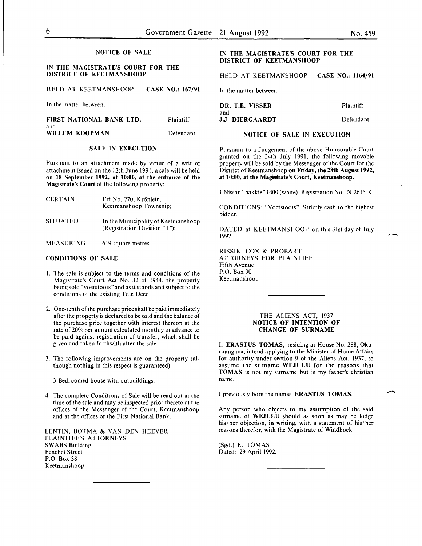#### IN THE MAGISTRATE'S COURT FOR THE DISTRICT OF KEETMANSHOOP

HELD AT KEETMANSHOOP CASE NO.: 167/91

In the matter between:

| FIRST NATIONAL BANK LTD. | Plaintiff |
|--------------------------|-----------|
| and                      |           |
| WILLEM KOOPMAN           | Defendant |

#### SALE IN EXECUTION

Pursuant to an attachment made by virtue of a writ of attachment issued on the 12th June 1991 , a sale will be held on 18 September 1992, at 10:00, at the entrance of the Magistrate's Court of the following property:

| <b>CERTAIN</b>  | Erf No. 270, Krönlein,<br>Keetmanshoop Township;                    |
|-----------------|---------------------------------------------------------------------|
| <b>SITUATED</b> | In the Municipality of Keetmanshoop<br>(Registration Division "T"); |
| MEASURING       | 619 square metres.                                                  |

### CONDITIONS OF SALE

- I. The sale is subject to the terms and conditions of the Magistrate's Court Act No. 32 of 1944, the property being sold "voetstoots" and as it stands and subject to the conditions of the existing Title Deed.
- 2. One-tenth of the purchase price shall be paid immediately after the property is declared to be sold and the balance of the purchase price together with interest thereon at the rate of 20% per annum calculated monthly in advance to be paid against registration of transfer, which shall be given and taken forthwith after the sale.
- 3. The following improvements are on the property (although nothing in this respect is guaranteed):

3-Bedroomed house with outbuildings.

4. The complete Conditions of Sale will be read out at the time of the sale and may be inspected prior thereto at the offices of the Messenger of the Court, Keetmanshoop and at the offices of the First National Bank.

LENTIN, BOTMA & VAN DEN HEEVER PLAINTIFF'S ATTORNEYS SWABS Building Fenchel Street P.O. Box 38 Keetmanshoop

#### IN THE MAGISTRATE'S COURT FOR THE DISTRICT OF KEETMANSHOOP

HELD AT KEETMANSHOOP CASE NO.: 1164/91

In the matter between:

| DR. T.E. VISSER               | Plaintiff |
|-------------------------------|-----------|
| and<br><b>J.J. DIERGAARDT</b> | Defendant |

#### NOTICE OF SALE IN EXECUTION

Pursuant to a Judgement of the above Honourable Court granted on the 24th July 1991, the following movable property will be sold by the Messenger of the Court for the District of Keetmanshoop on Friday, the 28th August 1992. at 10:00, at the Magistrate's Court, Keetmanshoop.

I Nissan "bakkie" 1400 (white), Registration No. N 2615 K.

CONDlTIONS: "Voetstoots". Strictly cash to the highest bidder.

DATED at KEETMANSHOOP on this 31st day of July 1992.

RlSSIK, COX & PROBART ATTORNEYS FOR PLAINTIFF Fifth Avenue P.O. Box 90 Keetmanshoop

#### THE ALIENS ACT, I937 NOTICE OF INTENTION OF CHANGE OF SURNAME

I, ERASTUS TOMAS, residing at House No. 288, Okuruangava, intend applying to the Minister of Home Affairs for authority under section 9 of the Aliens Act, 1937, to assume the surname WEJULU for the reasons that TOMAS is not my surname but is my father's christian name.

I previously bore the names ERASTUS TOMAS.

Any person who objects to my assumption of the said surname of WEJULU should as soon as may be lodge his/her objection, in writing, with a statement of his/her reasons therefor, with the Magistrate of Windhoek.

(Sgd.) E. TOMAS Dated: 29 April 1992.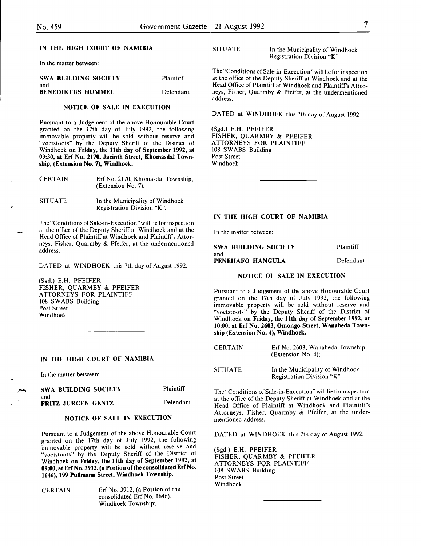#### IN THE HIGH COURT OF NAMIBIA

In the matter between:

| SWA BUILDING SOCIETY     | Plaintiff |
|--------------------------|-----------|
| and                      |           |
| <b>BENEDIKTUS HUMMEL</b> | Defendant |

#### NOTICE OF SALE IN EXECUTION

Pursuant to a Judgement of the above Honourable Court granted on the 17th day of July 1992, the following immovable property will be sold without reserve and "voetstoots" by the Deputy Sheriff of the District of Windhoek on Friday, the 11th day of September 1992, at 09:30, at Erf No. 2170, Jacinth Street, Khomasdal Township, (Extension No. 7), Windhoek.

| <b>CERTAIN</b> | Erf No. 2170, Khomasdal Township, |
|----------------|-----------------------------------|
|                | (Extension No. 7);                |

SITUATE In the Municipality of Windhoek Registration Division "K".

The "Conditions of Sale-in-Execution "will lie for inspection at the office of the Deputy Sheriff at Windhoek and at the Head Office of Plaintiff at Windhoek and Plaintiff's Attorneys, Fisher, Quarmby & Pfeifer, at the undermentioned address.

DATED at WINDHOEK this 7th day of August 1992.

(Sgd.) E.H. PFEIFER FISHER, QUARMBY & PFEIFER ATTORNEYS FOR PLAINTIFF 108 SWABS Building Post Street Windhoek

#### IN THE HIGH COURT OF NAMIBIA

In the matter between:

| <b>SWA BUILDING SOCIETY</b>      | Plaintiff |
|----------------------------------|-----------|
| and<br><b>FRITZ JURGEN GENTZ</b> | Defendant |

#### NOTICE OF SALE IN EXECUTION

Pursuant to a Judgement of the above Honourable Court granted on the 17th day of July 1992, the following immovable property will be sold without reserve and "voetstoots" by the Deputy Sheriff of the District of Windhoek on Friday, the 11th day of September 1992, at 09:00, at Erf No. 3912, (a Portion of the consolidated Erf No. 1646), 199 Pullmann Street, Windhoek Township.

CERTAIN Erf No. 3912, (a Portion of the consolidated Erf No. 1646), Windhoek Township;

SITUATE In the Municipality of Windhoek Registration Division "K ".

The "Conditions of Sale-in-Execution" will lie for inspection at the office of the Deputy Sheriff at Windhoek and at the Head Office of Plaintiff at Windhoek and Plaintiff's Attorneys, Fisher, Quarmby & Pfeifer, at the undermentioned address.

DATED at WINDHOEK this 7th day of August 1992.

(Sgd.) E.H. PFEIFER FISHER, QUARMBY & PFEIFER ATTORNEYS FOR PLAINTIFF 108 SWABS Building Post Street Windhoek

#### IN THE HIGH COURT OF NAMIBIA

In the matter between:

| <b>SWA BUILDING SOCIETY</b> | Plaintiff |
|-----------------------------|-----------|
| and                         |           |
| PENEHAFO HANGULA            | Defendant |

#### NOTICE OF SALE IN EXECUTION

Pursuant to a Judgement of the above Honourable Court granted on the 17th day of July 1992, the following immovable property will be sold without reserve and "voetstoots" by the Deputy Sheriff of the District of Windhoek on Friday, the 11th day of September 1992, at 10:00, at Erf No. 2603, Omongo Street, Wanaheda Township (Extension No. 4), Windhoek.

| <b>CERTAIN</b> | Erf No. 2603, Wanaheda Township, |
|----------------|----------------------------------|
|                | (Extension No. 4);               |
|                |                                  |

SITUATE In the Municipality of Windhoek Registration Division "K".

The "Conditions of Sale-in-Execution" will lie for inspection at the office of the Deputy Sheriff at Windhoek and at the Head Office of Plaintiff at Windhoek and Plaintiff's Attorneys, Fisher, Quarmby & Pfeifer, at the undermentioned address.

DATED at WINDHOEK this 7th day of August 1992.

(Sgd.) E.H. PFEIFER FISHER, QUARMBY & PFEIFER ATTORNEYS FOR PLAINTIFF 108 SWABS Building Post Street Windhoek